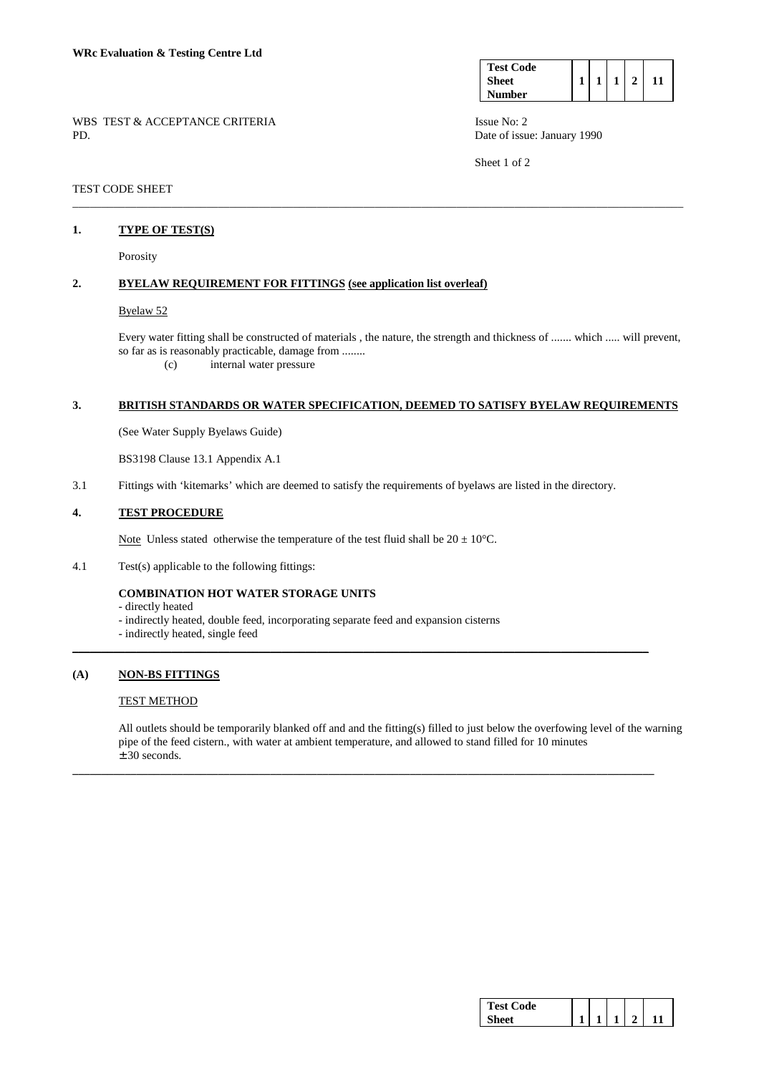| <b>Test Code</b> |  |  |  |
|------------------|--|--|--|
| Sheet            |  |  |  |
| <b>Number</b>    |  |  |  |

WBS TEST & ACCEPTANCE CRITERIA ISSUE No: 2 PD. Date of issue: January 1990

Sheet 1 of 2

TEST CODE SHEET

### **1. TYPE OF TEST(S)**

Porosity

## **2. BYELAW REQUIREMENT FOR FITTINGS (see application list overleaf)**

#### Byelaw 52

 Every water fitting shall be constructed of materials , the nature, the strength and thickness of ....... which ..... will prevent, so far as is reasonably practicable, damage from ........

(c) internal water pressure

### **3. BRITISH STANDARDS OR WATER SPECIFICATION, DEEMED TO SATISFY BYELAW REQUIREMENTS**

\_\_\_\_\_\_\_\_\_\_\_\_\_\_\_\_\_\_\_\_\_\_\_\_\_\_\_\_\_\_\_\_\_\_\_\_\_\_\_\_\_\_\_\_\_\_\_\_\_\_\_\_\_\_\_\_\_\_\_\_\_\_\_\_\_\_\_\_\_\_\_\_\_\_\_\_\_\_\_\_\_\_\_\_\_\_\_\_\_\_\_\_\_\_\_\_\_\_\_\_\_\_\_\_\_

(See Water Supply Byelaws Guide)

BS3198 Clause 13.1 Appendix A.1

3.1 Fittings with 'kitemarks' which are deemed to satisfy the requirements of byelaws are listed in the directory.

 $\_$  ,  $\_$  ,  $\_$  ,  $\_$  ,  $\_$  ,  $\_$  ,  $\_$  ,  $\_$  ,  $\_$  ,  $\_$  ,  $\_$  ,  $\_$  ,  $\_$  ,  $\_$  ,  $\_$  ,  $\_$  ,  $\_$  ,  $\_$  ,  $\_$  ,  $\_$  ,  $\_$  ,  $\_$  ,  $\_$  ,  $\_$  ,  $\_$  ,  $\_$  ,  $\_$  ,  $\_$  ,  $\_$  ,  $\_$  ,  $\_$  ,  $\_$  ,  $\_$  ,  $\_$  ,  $\_$  ,  $\_$  ,  $\_$  ,

**\_\_\_\_\_\_\_\_\_\_\_\_\_\_\_\_\_\_\_\_\_\_\_\_\_\_\_\_\_\_\_\_\_\_\_\_\_\_\_\_\_\_\_\_\_\_\_\_\_\_\_\_\_\_\_\_\_\_\_\_\_\_\_\_\_\_\_\_\_\_\_\_\_\_\_\_\_\_\_\_\_\_\_\_\_\_\_\_\_\_\_\_\_\_\_\_\_\_\_\_** 

## **4. TEST PROCEDURE**

Note Unless stated otherwise the temperature of the test fluid shall be  $20 \pm 10^{\circ}$ C.

4.1 Test(s) applicable to the following fittings:

## **COMBINATION HOT WATER STORAGE UNITS**

- directly heated

- indirectly heated, double feed, incorporating separate feed and expansion cisterns
- indirectly heated, single feed

## **(A) NON-BS FITTINGS**

#### TEST METHOD

 All outlets should be temporarily blanked off and and the fitting(s) filled to just below the overfowing level of the warning pipe of the feed cistern., with water at ambient temperature, and allowed to stand filled for 10 minutes ± 30 seconds.

| <b>Test Code</b> |  |  |  |
|------------------|--|--|--|
|                  |  |  |  |